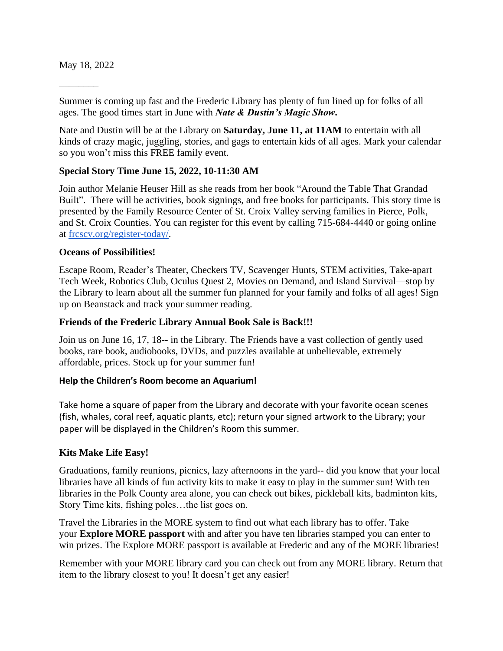May 18, 2022

\_\_\_\_\_\_\_\_

Summer is coming up fast and the Frederic Library has plenty of fun lined up for folks of all ages. The good times start in June with *Nate & Dustin's Magic Show***.**

Nate and Dustin will be at the Library on **Saturday, June 11, at 11AM** to entertain with all kinds of crazy magic, juggling, stories, and gags to entertain kids of all ages. Mark your calendar so you won't miss this FREE family event.

## **Special Story Time June 15, 2022, 10-11:30 AM**

Join author Melanie Heuser Hill as she reads from her book "Around the Table That Grandad Built". There will be activities, book signings, and free books for participants. This story time is presented by the Family Resource Center of St. Croix Valley serving families in Pierce, Polk, and St. Croix Counties. You can register for this event by calling 715-684-4440 or going online at [frcscv.org/register-today/.](http://frcscv.org/register-today/)

#### **Oceans of Possibilities!**

Escape Room, Reader's Theater, Checkers TV, Scavenger Hunts, STEM activities, Take-apart Tech Week, Robotics Club, Oculus Quest 2, Movies on Demand, and Island Survival—stop by the Library to learn about all the summer fun planned for your family and folks of all ages! Sign up on Beanstack and track your summer reading.

### **Friends of the Frederic Library Annual Book Sale is Back!!!**

Join us on June 16, 17, 18-- in the Library. The Friends have a vast collection of gently used books, rare book, audiobooks, DVDs, and puzzles available at unbelievable, extremely affordable, prices. Stock up for your summer fun!

#### **Help the Children's Room become an Aquarium!**

Take home a square of paper from the Library and decorate with your favorite ocean scenes (fish, whales, coral reef, aquatic plants, etc); return your signed artwork to the Library; your paper will be displayed in the Children's Room this summer.

#### **Kits Make Life Easy!**

Graduations, family reunions, picnics, lazy afternoons in the yard-- did you know that your local libraries have all kinds of fun activity kits to make it easy to play in the summer sun! With ten libraries in the Polk County area alone, you can check out bikes, pickleball kits, badminton kits, Story Time kits, fishing poles…the list goes on.

Travel the Libraries in the MORE system to find out what each library has to offer. Take your **Explore MORE passport** with and after you have ten libraries stamped you can enter to win prizes. The Explore MORE passport is available at Frederic and any of the MORE libraries!

Remember with your MORE library card you can check out from any MORE library. Return that item to the library closest to you! It doesn't get any easier!